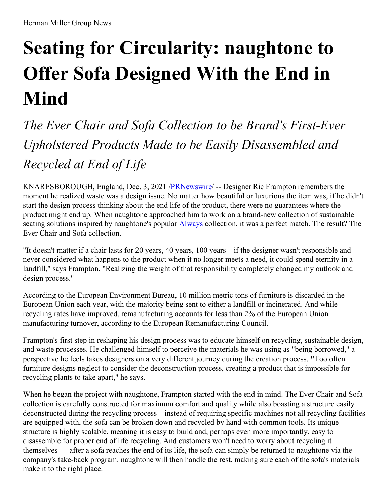## **Seating for Circularity: naughtone to Offer Sofa Designed With the End in Mind**

*The Ever Chair and Sofa Collection to be Brand's First-Ever Upholstered Products Made to be Easily Disassembled and Recycled at End of Life*

KNARESBOROUGH, England, Dec. 3, 2021 [/PRNewswire](http://www.prnewswire.com/)/ -- Designer Ric Frampton remembers the moment he realized waste was a design issue. No matter how beautiful or luxurious the item was, if he didn't start the design process thinking about the end life of the product, there were no guarantees where the product might end up. When naughtone approached him to work on a brand-new collection of sustainable seating solutions inspired by naughtone's popular **[Always](https://c212.net/c/link/?t=0&l=en&o=3378914-1&h=1373616749&u=https%3A%2F%2Fwww.naughtone.com%2Fus%2Fproducts%2Falways%2F&a=Always)** collection, it was a perfect match. The result? The Ever Chair and Sofa collection.

"It doesn't matter if a chair lasts for 20 years, 40 years, 100 years—if the designer wasn't responsible and never considered what happens to the product when it no longer meets a need, it could spend eternity in a landfill," says Frampton. "Realizing the weight of that responsibility completely changed my outlook and design process."

According to the European Environment Bureau, 10 million metric tons of furniture is discarded in the European Union each year, with the majority being sent to either a landfill or incinerated. And while recycling rates have improved, remanufacturing accounts for less than 2% of the European Union manufacturing turnover, according to the European Remanufacturing Council.

Frampton's first step in reshaping his design process was to educate himself on recycling, sustainable design, and waste processes. He challenged himself to perceive the materials he was using as "being borrowed," a perspective he feels takes designers on a very different journey during the creation process. **"**Too often furniture designs neglect to consider the deconstruction process, creating a product that is impossible for recycling plants to take apart," he says.

When he began the project with naughtone, Frampton started with the end in mind. The Ever Chair and Sofa collection is carefully constructed for maximum comfort and quality while also boasting a structure easily deconstructed during the recycling process—instead of requiring specific machines not all recycling facilities are equipped with, the sofa can be broken down and recycled by hand with common tools. Its unique structure is highly scalable, meaning it is easy to build and, perhaps even more importantly, easy to disassemble for proper end of life recycling. And customers won't need to worry about recycling it themselves — after a sofa reaches the end of its life, the sofa can simply be returned to naughtone via the company's take-back program. naughtone will then handle the rest, making sure each of the sofa's materials make it to the right place.